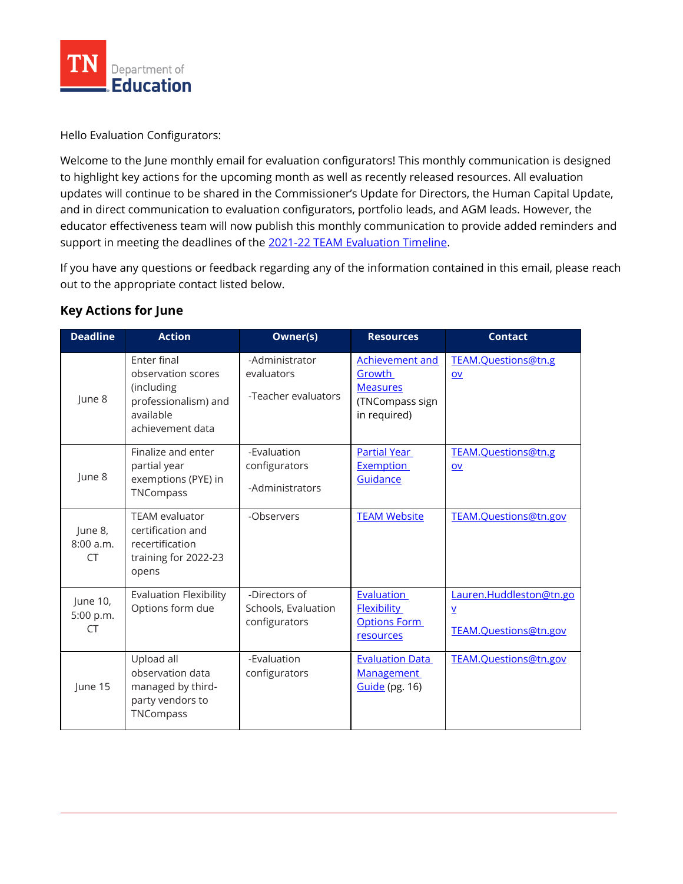

Hello Evaluation Configurators:

Welcome to the June monthly email for evaluation configurators! This monthly communication is designed to highlight key actions for the upcoming month as well as recently released resources. All evaluation updates will continue to be shared in the Commissioner's Update for Directors, the Human Capital Update, and in direct communication to evaluation configurators, portfolio leads, and AGM leads. However, the educator effectiveness team will now publish this monthly communication to provide added reminders and support in meeting the deadlines of the [2021-22 TEAM Evaluation Timeline.](https://team-tn.org/wp-content/uploads/2021/11/TEAM-Evaluation-Timeline-2021.22_November-2021.pdf)

If you have any questions or feedback regarding any of the information contained in this email, please reach out to the appropriate contact listed below.

## **Key Actions for June**

| <b>Deadline</b>                    | <b>Action</b>                                                                                            | Owner(s)                                              | <b>Resources</b>                                                                | <b>Contact</b>                                                               |
|------------------------------------|----------------------------------------------------------------------------------------------------------|-------------------------------------------------------|---------------------------------------------------------------------------------|------------------------------------------------------------------------------|
| June 8                             | Enter final<br>observation scores<br>(including<br>professionalism) and<br>available<br>achievement data | -Administrator<br>evaluators<br>-Teacher evaluators   | Achievement and<br>Growth<br><b>Measures</b><br>(TNCompass sign<br>in required) | TEAM.Questions@tn.g<br>$ov$                                                  |
| June 8                             | Finalize and enter<br>partial year<br>exemptions (PYE) in<br>TNCompass                                   | -Evaluation<br>configurators<br>-Administrators       | <b>Partial Year</b><br><b>Exemption</b><br>Guidance                             | TEAM.Ouestions@tn.g<br><b>OV</b>                                             |
| June 8,<br>8:00 a.m.<br><b>CT</b>  | <b>TEAM</b> evaluator<br>certification and<br>recertification<br>training for 2022-23<br>opens           | -Observers                                            | <b>TEAM Website</b>                                                             | TEAM.Questions@tn.gov                                                        |
| June 10,<br>5:00 p.m.<br><b>CT</b> | <b>Evaluation Flexibility</b><br>Options form due                                                        | -Directors of<br>Schools, Evaluation<br>configurators | <b>Evaluation</b><br><b>Flexibility</b><br><b>Options Form</b><br>resources     | Lauren.Huddleston@tn.go<br>$\underline{\mathsf{v}}$<br>TEAM.Questions@tn.gov |
| June 15                            | Upload all<br>observation data<br>managed by third-<br>party vendors to<br>TNCompass                     | -Evaluation<br>configurators                          | <b>Evaluation Data</b><br><b>Management</b><br>Guide (pg. 16)                   | TEAM.Questions@tn.gov                                                        |